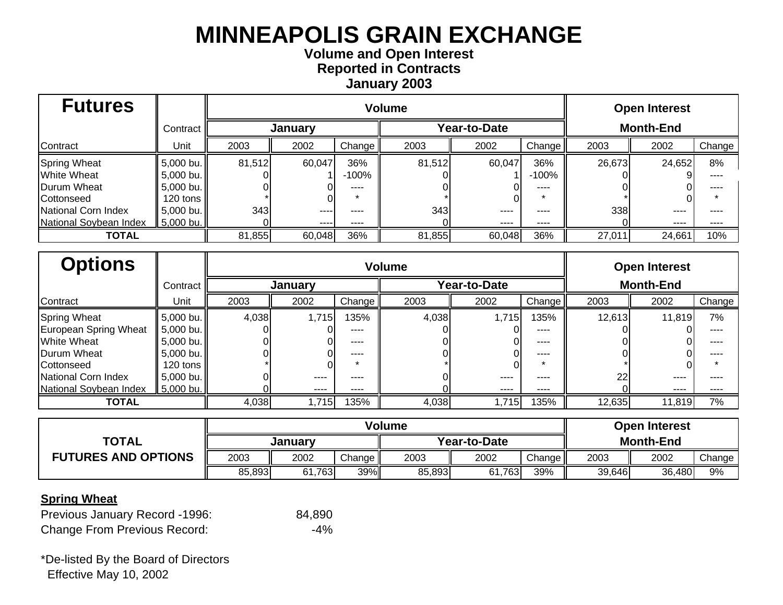## **Volume and Open Interest Reported in Contracts January 2003**

| <b>Futures</b>         |            | <b>Volume</b> |        |         |              |        |           |                  | <b>Open Interest</b> |        |  |  |
|------------------------|------------|---------------|--------|---------|--------------|--------|-----------|------------------|----------------------|--------|--|--|
|                        | Contract   | January       |        |         | Year-to-Date |        |           | <b>Month-End</b> |                      |        |  |  |
| Contract               | Unit       | 2003          | 2002   | Change  | 2003         | 2002   | Change    | 2003             | 2002                 | Change |  |  |
| <b>Spring Wheat</b>    | 5,000 bu.  | 81,512        | 60,047 | 36%     | 81,512       | 60,047 | 36%       | 26,673           | 24,652               | 8%     |  |  |
| <b>White Wheat</b>     | 5,000 bu.  |               |        | $-100%$ |              |        | $-100%$   |                  |                      | .      |  |  |
| Durum Wheat            | 5,000 bu.  |               |        | ----    |              |        | ----      |                  |                      | .      |  |  |
| Cottonseed             | 120 tons I |               |        |         |              |        |           |                  |                      |        |  |  |
| National Corn Index    | 5,000 bu.  | 343           | ----   | ----    | 343          | ----   | ----      | 338              | ----                 |        |  |  |
| National Soybean Index | 5,000 bu.  |               | $---$  | ----    |              | ----   | $- - - -$ |                  | ----                 | ----   |  |  |
| <b>TOTAL</b>           |            | 81,855        | 60,048 | 36%     | 81,855       | 60,048 | 36%       | 27,011           | 24,661               | 10%    |  |  |

| <b>Options</b>         |                      | <b>Volume</b>  |          |           |                     |           |        |                  | <b>Open Interest</b> |        |
|------------------------|----------------------|----------------|----------|-----------|---------------------|-----------|--------|------------------|----------------------|--------|
|                        | Contract             | <b>January</b> |          |           | <b>Year-to-Date</b> |           |        | <b>Month-End</b> |                      |        |
| Contract               | Unit                 | 2003           | 2002     | Change    | 2003                | 2002      | Change | 2003             | 2002                 | Change |
| <b>Spring Wheat</b>    | 5,000 bu.            | 4,038          | 1,715    | 135%      | 4,038               | 1,715     | 135%   | 12,613           | 11,819               | 7%     |
| European Spring Wheat  | 5,000 bu.            |                |          | $- - - -$ |                     |           | ----   |                  |                      | ----   |
| <b>White Wheat</b>     | 5,000 bu.            |                |          | ----      |                     |           | ----   |                  |                      |        |
| Durum Wheat            | 5,000 bu.            |                |          | ----      |                     |           | ----   |                  |                      |        |
| Cottonseed             | 120 tons $\parallel$ |                |          | $\star$   |                     |           |        |                  |                      |        |
| National Corn Index    | 5,000 bu.            |                | $\cdots$ | ----      |                     | $- - - -$ | ----   | 22               | ----                 |        |
| National Soybean Index | 5,000 bu.            |                | ----     | ----      |                     | ----      | ----   |                  | ----                 | ----   |
| <b>TOTAL</b>           |                      | 4,038          | 1,715    | 135%      | 4,038               | 1,715     | 135%   | 12,635           | 11,819               | 7%     |

|                            |         |        | <b>Open Interest</b> |              |        |        |                  |        |        |
|----------------------------|---------|--------|----------------------|--------------|--------|--------|------------------|--------|--------|
| <b>TOTAL</b>               | Januarv |        |                      | Year-to-Date |        |        | <b>Month-End</b> |        |        |
| <b>FUTURES AND OPTIONS</b> | 2003    | 2002   | Change               | 2003         | 2002   | Change | 2003             | 2002   | Change |
|                            | 85,893  | 61,763 | 39%                  | 85,893       | 61,763 | 39%    | 39,646           | 36,480 | 9%     |

#### **Spring Wheat**

| Previous January Record -1996:      | 84,890 |
|-------------------------------------|--------|
| <b>Change From Previous Record:</b> | $-4\%$ |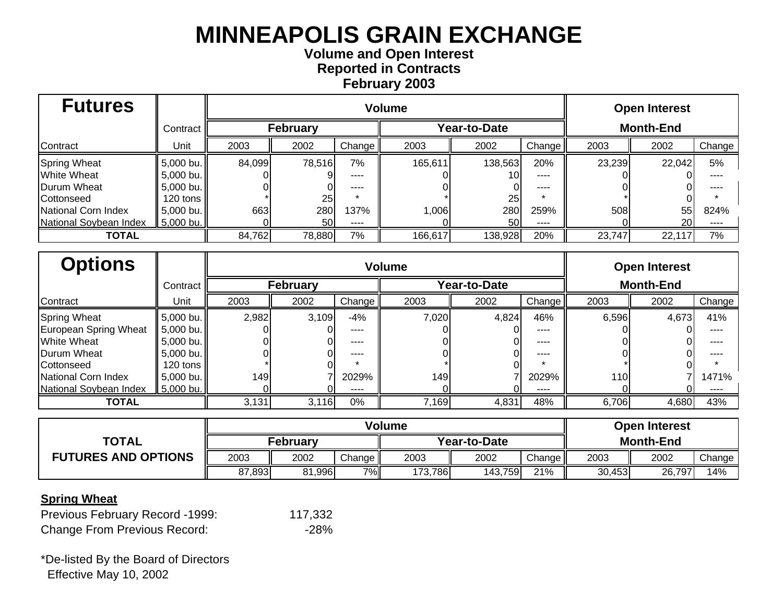## **Volume and Open Interest Reported in Contracts February 2003**

| <b>Futures</b>         |            |                 | <b>Volume</b> |                    |              |         |                    |                  | <b>Open Interest</b> |        |  |  |
|------------------------|------------|-----------------|---------------|--------------------|--------------|---------|--------------------|------------------|----------------------|--------|--|--|
|                        | Contract   | <b>February</b> |               |                    | Year-to-Date |         |                    | <b>Month-End</b> |                      |        |  |  |
| Contract               | Unit       | 2003            | 2002          | Change $\parallel$ | 2003         | 2002    | Change $\parallel$ | 2003             | 2002                 | Change |  |  |
| <b>Spring Wheat</b>    | 5,000 bu.  | 84,099          | 78,516        | 7%                 | 165,611      | 138,563 | 20%                | 23,239           | 22,042               | 5%     |  |  |
| <b>White Wheat</b>     | 5,000 bu.  |                 |               | ----               |              |         | $- - - -$          |                  |                      |        |  |  |
| Durum Wheat            | 5,000 bu.  |                 |               | ----               |              |         | ----               |                  |                      |        |  |  |
| Cottonseed             | 120 tons l |                 | 25            |                    |              | 25      |                    |                  |                      |        |  |  |
| National Corn Index    | 5,000 bu.  | 663             | 280           | 137%               | 1,006        | 280     | 259%               | 508              | 55                   | 824%   |  |  |
| National Soybean Index | 5,000 bu.  |                 | 50I           | ----               |              | 50      | $---$              |                  | 20 l                 | $---$  |  |  |
| <b>TOTAL</b>           |            | 84,762          | 78,880        | 7%                 | 166,617      | 138,928 | 20%                | 23,747           | 22,117               | 7%     |  |  |

| <b>Options</b>         |            |                 | <b>Volume</b> |        |       |              |        |                  |       |        |  |
|------------------------|------------|-----------------|---------------|--------|-------|--------------|--------|------------------|-------|--------|--|
|                        | Contract I | <b>February</b> |               |        |       | Year-to-Date |        | <b>Month-End</b> |       |        |  |
| Contract               | Unit       | 2003            | 2002          | Change | 2003  | 2002         | Change | 2003             | 2002  | Change |  |
| <b>Spring Wheat</b>    | 5,000 bu.  | 2,982           | 3,109         | $-4%$  | 7,020 | 4,824        | 46%    | 6,596            | 4,673 | 41%    |  |
| European Spring Wheat  | 5,000 bu.  |                 |               | ----   |       |              | ----   |                  |       |        |  |
| <b>White Wheat</b>     | 5,000 bu.  |                 |               | ----   |       |              | ----   |                  |       |        |  |
| <b>IDurum Wheat</b>    | 5,000 bu.  |                 |               | ----   |       |              | ----   |                  |       |        |  |
| Cottonseed             | 120 tons   |                 |               |        |       |              |        |                  |       |        |  |
| National Corn Index    | 5,000 bu.  | 149             |               | 2029%  | 149   |              | 2029%  | 110              |       | 1471%  |  |
| National Soybean Index | 5,000 bu.  |                 |               | ----   |       |              | ----   |                  |       |        |  |
| <b>TOTAL</b>           |            | 3,131           | 3,116         | 0%     | 7,169 | 4,831        | 48%    | 6,706            | 4,680 | 43%    |  |

|                            |        |              | <b>Open Interest</b> |         |                  |          |        |        |        |
|----------------------------|--------|--------------|----------------------|---------|------------------|----------|--------|--------|--------|
| <b>TOTAL</b>               |        | Year-to-Date |                      |         | <b>Month-End</b> |          |        |        |        |
| <b>FUTURES AND OPTIONS</b> | 2003   | 2002         | Change $\ $          | 2003    | 2002             | Change I | 2003   | 2002   | Change |
|                            | 87,893 | 81,996       | $7\%$                | 173,786 | 143,759          | 21%      | 30,453 | 26,797 | 14%    |

#### **Spring Wheat**

| Previous February Record -1999:     | 117,332 |
|-------------------------------------|---------|
| <b>Change From Previous Record:</b> | $-28%$  |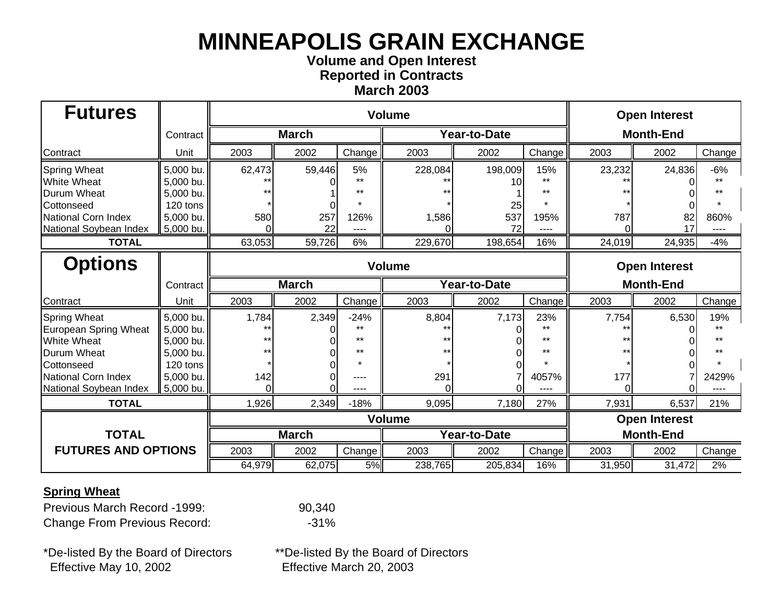### **Volume and Open Interest Reported in Contracts March 2003**

| <b>Futures</b>                                                                                         |                                                              |                         |              |                                              | <b>Volume</b> |                    |                       |          | <b>Open Interest</b> |               |  |  |
|--------------------------------------------------------------------------------------------------------|--------------------------------------------------------------|-------------------------|--------------|----------------------------------------------|---------------|--------------------|-----------------------|----------|----------------------|---------------|--|--|
|                                                                                                        | Contract                                                     |                         | <b>March</b> |                                              |               | Year-to-Date       |                       |          | <b>Month-End</b>     |               |  |  |
| Contract                                                                                               | Unit                                                         | 2003                    | 2002         | Change                                       | 2003          | 2002               | Change                | 2003     | 2002                 | Change        |  |  |
| <b>Spring Wheat</b><br><b>White Wheat</b><br>Durum Wheat                                               | 5,000 bu.<br>5,000 bu.<br>5,000 bu.                          | 62,473                  | 59,446       | 5%<br>$***$<br>**                            | 228,084       | 198,009<br>10      | 15%<br>++<br>$***$    | 23,232   | 24,836               | $-6%$<br>$**$ |  |  |
| Cottonseed<br>National Corn Index<br>National Soybean Index                                            | 120 tons<br>5,000 bu.<br>5,000 bu.                           | 580                     | 257<br>22    | 126%                                         | 1,586         | 25<br>537<br>72    | 195%                  | 787<br>∩ | 82<br>17             | 860%          |  |  |
| <b>TOTAL</b>                                                                                           |                                                              | 63,053                  | 59,726<br>6% |                                              |               | 229,670<br>198,654 | 16%                   | 24,019   | 24,935               | $-4%$         |  |  |
| <b>Options</b>                                                                                         |                                                              | <b>Volume</b>           |              |                                              |               |                    |                       |          | <b>Open Interest</b> |               |  |  |
|                                                                                                        | Contract                                                     |                         | <b>March</b> |                                              |               | Year-to-Date       |                       |          | <b>Month-End</b>     |               |  |  |
| Contract                                                                                               | Unit                                                         | 2003                    | 2002         | Change                                       | 2003          | 2002               | Change                | 2003     | 2002                 | Change        |  |  |
| <b>Spring Wheat</b><br>European Spring Wheat<br><b>White Wheat</b><br><b>Durum Wheat</b><br>Cottonseed | 5,000 bu.<br>5,000 bu.<br>5,000 bu.<br>5,000 bu.<br>120 tons | 1,784<br>$***$<br>$***$ | 2,349        | $-24%$<br>$+ +$<br>$***$<br>$***$<br>$\star$ | 8,804         | 7,173              | 23%<br>$***$<br>$+ +$ | 7,754    | 6,530                | 19%           |  |  |
| National Corn Index<br>National Soybean Index                                                          | 5,000 bu.<br>5,000 bu.                                       | 142                     |              |                                              | 291           |                    | 4057%                 | 177      |                      | 2429%         |  |  |
| <b>TOTAL</b>                                                                                           |                                                              | 1,926                   | 2,349        | $-18%$                                       | 9,095         | 7,180              | 27%                   | 7,931    | 6,537                | 21%           |  |  |
|                                                                                                        |                                                              |                         |              |                                              | <b>Volume</b> |                    |                       |          | <b>Open Interest</b> |               |  |  |
| <b>TOTAL</b>                                                                                           |                                                              |                         | <b>March</b> |                                              |               | Year-to-Date       |                       |          | <b>Month-End</b>     |               |  |  |
| <b>FUTURES AND OPTIONS</b>                                                                             |                                                              | 2003                    | 2002         | Change                                       | 2003          | 2002               | Change                | 2003     | 2002                 | Change        |  |  |
|                                                                                                        |                                                              | 64,979                  | 62,075       | 5%                                           | 238,765       | 205,834            | 16%                   | 31,950   | 31,472               | 2%            |  |  |

#### **Spring Wheat**

Previous March Record -1999: 90,340 Change From Previous Record: 431%

\*De-listed By the Board of Directors \*\*De-listed By the Board of Directors Effective May 10, 2002 Effective March 20, 2003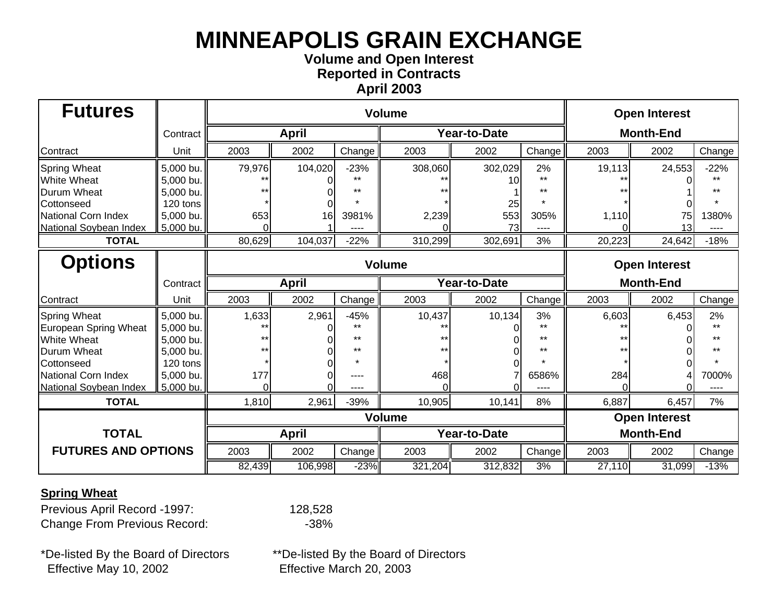### **Volume and Open Interest Reported in Contracts April 2003**

| <b>Futures</b>             |           |                             |              |        | <b>Volume</b> |                     |        |        | <b>Open Interest</b> |        |
|----------------------------|-----------|-----------------------------|--------------|--------|---------------|---------------------|--------|--------|----------------------|--------|
|                            | Contract  |                             | <b>April</b> |        |               | <b>Year-to-Date</b> |        |        | <b>Month-End</b>     |        |
| Contract                   | Unit      | 2003                        | 2002         | Change | 2003          | 2002                | Change | 2003   | 2002                 | Change |
| Spring Wheat               | 5,000 bu. | 79,976                      | 104,020      | $-23%$ | 308,060       | 302,029             | 2%     | 19,113 | 24,553               | $-22%$ |
| White Wheat                | 5,000 bu. |                             |              |        |               | 10                  |        |        |                      |        |
| Durum Wheat                | 5,000 bu. |                             |              |        |               |                     | $***$  |        |                      |        |
| Cottonseed                 | 120 tons  |                             |              |        |               | 25                  |        |        |                      |        |
| National Corn Index        | 5,000 bu. | 653                         | 16           | 3981%  | 2,239         | 553                 | 305%   | 1,110  | 75                   | 1380%  |
| National Soybean Index     | 5,000 bu. | $\Omega$                    |              | ----   |               | 73                  | ----   |        | 13                   | ----   |
| <b>TOTAL</b>               |           | 80,629<br>104,037<br>$-22%$ |              |        | 310,299       | 302,691             | 3%     | 20,223 | 24,642               | $-18%$ |
| <b>Options</b>             |           |                             |              |        | <b>Volume</b> |                     |        |        | <b>Open Interest</b> |        |
|                            | Contract  | <b>April</b>                |              |        |               | <b>Year-to-Date</b> |        |        | <b>Month-End</b>     |        |
| Contract                   | Unit      | 2003                        | 2002         | Change | 2003          | 2002                | Change | 2003   | 2002                 | Change |
| Spring Wheat               | 5,000 bu. | 1,633                       | 2,961        | $-45%$ | 10,437        | 10,134              | 3%     | 6,603  | 6,453                | 2%     |
| European Spring Wheat      | 5,000 bu. |                             |              | $+ +$  |               |                     | $***$  |        |                      | $***$  |
| White Wheat                | 5,000 bu. |                             |              | **     |               |                     | $**$   |        |                      |        |
| Durum Wheat                | 5.000 bu. | $+1$                        |              | **     |               |                     | **     |        |                      |        |
| Cottonseed                 | 120 tons  |                             |              |        |               |                     |        |        |                      |        |
| National Corn Index        | 5,000 bu. | 177                         |              |        | 468           |                     | 6586%  | 284    |                      | 7000%  |
| National Soybean Index     | 5,000 bu. | $\Omega$                    |              |        |               |                     |        |        |                      |        |
| <b>TOTAL</b>               |           | 1,810                       | 2,961        | $-39%$ | 10,905        | 10,141              | 8%     | 6,887  | 6,457                | 7%     |
|                            |           |                             |              |        | <b>Volume</b> |                     |        |        | <b>Open Interest</b> |        |
| <b>TOTAL</b>               |           |                             | <b>April</b> |        |               | <b>Year-to-Date</b> |        |        | <b>Month-End</b>     |        |
| <b>FUTURES AND OPTIONS</b> |           | 2003<br>2002<br>Change      |              | 2003   | 2002          | Change              | 2003   | 2002   | Change               |        |
|                            |           | 82,439                      | 106,998      | $-23%$ | 321,204       | 312,832             | 3%     | 27,110 | 31,099               | $-13%$ |

#### **Spring Wheat**

Previous April Record -1997: 128,528 Change From Previous Record: 438%

\*De-listed By the Board of Directors \*\*De-listed By the Board of Directors Effective May 10, 2002 Effective March 20, 2003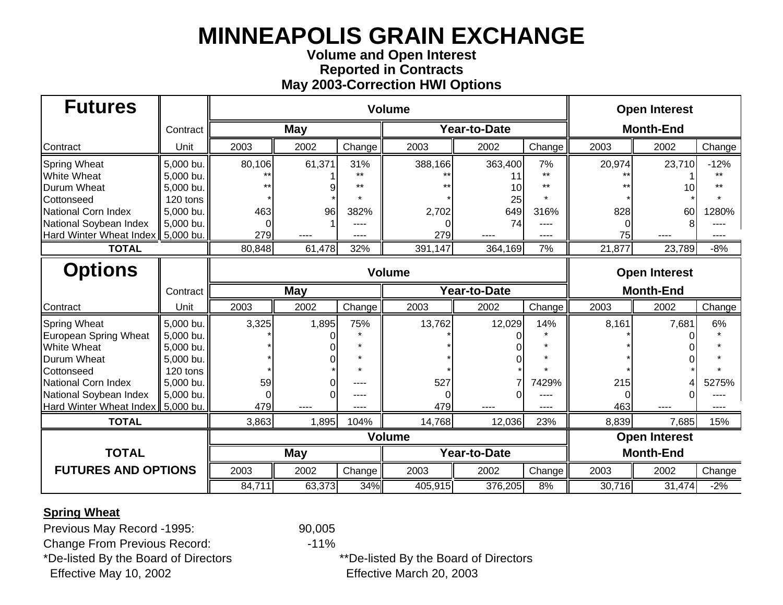## **Volume and Open Interest Reported in Contracts May 2003-Correction HWI Options**

| <b>Futures</b>                 |           |               |                | <b>Volume</b> |               | <b>Open Interest</b> |        |        |                      |        |
|--------------------------------|-----------|---------------|----------------|---------------|---------------|----------------------|--------|--------|----------------------|--------|
|                                | Contract  |               | May            |               |               | <b>Year-to-Date</b>  |        |        | <b>Month-End</b>     |        |
| Contract                       | Unit      | 2003          | 2002           | Change        | 2003          | 2002                 | Change | 2003   | 2002                 | Change |
| <b>Spring Wheat</b>            | 5,000 bu. | 80,106        | 61,371         | 31%           | 388,166       | 363,400              | 7%     | 20,974 | 23,710               | $-12%$ |
| <b>White Wheat</b>             | 5,000 bu. |               |                |               |               |                      | $+ +$  |        |                      | $+ +$  |
| <b>Durum Wheat</b>             | 5,000 bu. |               |                | $***$         |               | 10                   | $**$   |        |                      | $+ +$  |
| Cottonseed                     | 120 tons  |               |                |               |               | 25                   |        |        |                      |        |
| National Corn Index            | 5,000 bu. | 463           | 96             | 382%          | 2,702         | 649                  | 316%   | 828    | 60                   | 1280%  |
| National Soybean Index         | 5,000 bu. |               |                | ----          |               | 74                   | ----   |        |                      |        |
| <b>Hard Winter Wheat Index</b> | 5,000 bu. | 279           |                |               | 279           |                      |        | 75     |                      |        |
| <b>TOTAL</b>                   |           | 80,848        | 61,478<br>32%  |               |               | 364,169              | 7%     | 21,877 | 23,789               | $-8%$  |
| <b>Options</b>                 |           | <b>Volume</b> |                |               |               |                      |        |        | <b>Open Interest</b> |        |
|                                | Contract  | <b>May</b>    |                |               |               | <b>Year-to-Date</b>  |        |        | <b>Month-End</b>     |        |
| Contract                       | Unit      | 2003          | 2002           | Change        | 2003          | 2002                 | Change | 2003   | 2002                 | Change |
| <b>Spring Wheat</b>            | 5,000 bu. | 3,325         | 1,895          | 75%           | 13,762        | 12,029               | 14%    | 8,161  | 7,681                | 6%     |
| European Spring Wheat          | 5,000 bu. |               |                |               |               |                      |        |        |                      |        |
| <b>White Wheat</b>             | 5,000 bu. |               |                |               |               |                      |        |        |                      |        |
| <b>Durum Wheat</b>             | 5,000 bu. |               |                |               |               |                      |        |        |                      |        |
| Cottonseed                     | 120 tons  |               |                |               |               |                      |        |        |                      |        |
| National Corn Index            | 5,000 bu. | 59            |                |               | 527           |                      | 7429%  | 215    |                      | 5275%  |
| National Soybean Index         | 5,000 bu. |               |                | ----          |               |                      |        |        |                      |        |
| Hard Winter Wheat Index        | 5,000 bu. | 479           |                | ----          | 479           |                      | ----   | 463    |                      | ----   |
| <b>TOTAL</b>                   |           | 3,863         | 1,895          | 104%          | 14,768        | 12,036               | 23%    | 8,839  | 7,685                | 15%    |
|                                |           |               |                |               | <b>Volume</b> |                      |        |        | <b>Open Interest</b> |        |
| <b>TOTAL</b>                   |           |               | <b>May</b>     |               |               | Year-to-Date         |        |        | <b>Month-End</b>     |        |
| <b>FUTURES AND OPTIONS</b>     |           | 2003          | 2002<br>Change |               | 2003          | 2002                 | Change | 2003   | 2002                 | Change |
|                                |           | 84,711        | 63,373         | 34%           | 405,915       | 376,205              | 8%     | 30,716 | 31,474               | $-2%$  |

#### **Spring Wheat**

Previous May Record -1995: 90,005

Change From Previous Record: 41%

\*De-listed By the Board of Directors \*\*De-listed By the Board of Directors Effective May 10, 2002 Effective March 20, 2003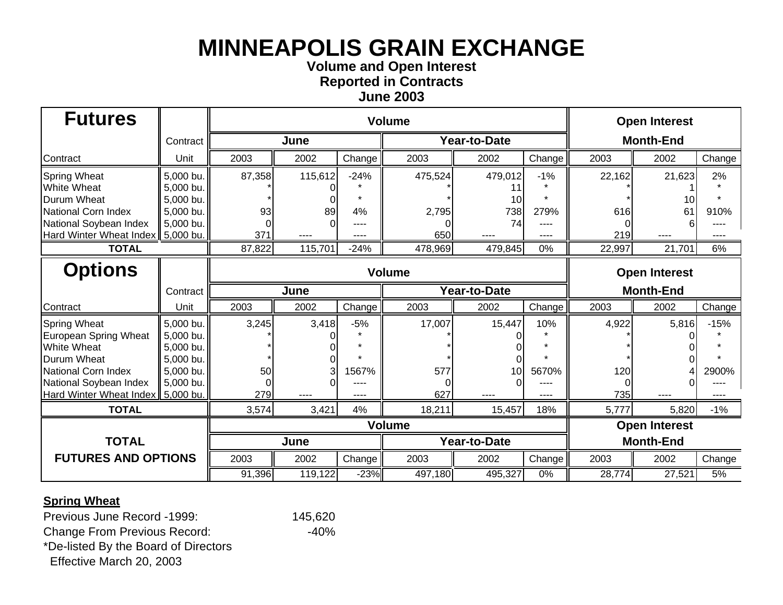**Volume and Open Interest Reported in Contracts**

**June 2003**

| <b>Futures</b>                      |           |                             |         |        | <b>Volume</b> |                     |        | <b>Open Interest</b> |                      |        |  |
|-------------------------------------|-----------|-----------------------------|---------|--------|---------------|---------------------|--------|----------------------|----------------------|--------|--|
|                                     | Contract  |                             | June    |        |               | <b>Year-to-Date</b> |        |                      | <b>Month-End</b>     |        |  |
| Contract                            | Unit      | 2003                        | 2002    | Change | 2003          | 2002                | Change | 2003                 | 2002                 | Change |  |
| <b>Spring Wheat</b>                 | 5,000 bu. | 87,358                      | 115,612 | $-24%$ | 475,524       | 479,012             | $-1%$  | 22,162               | 21,623               | 2%     |  |
| <b>White Wheat</b>                  | 5,000 bu. |                             |         |        |               |                     |        |                      |                      |        |  |
| <b>Durum Wheat</b>                  | 5,000 bu. |                             |         |        |               | 10                  |        |                      |                      |        |  |
| National Corn Index                 | 5,000 bu. | 93                          | 89      | 4%     | 2,795         | 738                 | 279%   | 616                  | 61                   | 910%   |  |
| National Soybean Index              | 5,000 bu. |                             |         |        |               | 74                  |        |                      |                      |        |  |
| Hard Winter Wheat Index   5,000 bu. |           | 371                         | ----    |        | 650           |                     | $---$  | 219                  | ----                 | ----   |  |
| <b>TOTAL</b>                        |           | 87,822<br>115,701<br>$-24%$ |         |        | 478,969       | 479,845             | 0%     | 22,997               | 21,701               | 6%     |  |
| <b>Options</b>                      |           | <b>Volume</b>               |         |        |               |                     |        |                      | <b>Open Interest</b> |        |  |
|                                     | Contract  |                             | June    |        |               | Year-to-Date        |        |                      | <b>Month-End</b>     |        |  |
| Contract                            | Unit      | 2003                        | 2002    | Change | 2003          | 2002                | Change | 2003                 | 2002                 | Change |  |
| <b>Spring Wheat</b>                 | 5,000 bu. | 3,245                       | 3,418   | $-5%$  | 17,007        | 15,447              | 10%    | 4,922                | 5,816                | $-15%$ |  |
| European Spring Wheat               | 5,000 bu. |                             |         |        |               |                     |        |                      |                      |        |  |
| <b>White Wheat</b>                  | 5,000 bu. |                             |         |        |               |                     |        |                      |                      |        |  |
| <b>Durum Wheat</b>                  | 5,000 bu. |                             |         |        |               |                     |        |                      |                      |        |  |
| National Corn Index                 | 5,000 bu. | 50                          | 3       | 1567%  | 577           | 10                  | 5670%  | 120                  |                      | 2900%  |  |
| National Soybean Index              | 5,000 bu. | $\Omega$                    |         |        |               |                     |        |                      |                      |        |  |
| Hard Winter Wheat Index   5,000 bu. |           | 279                         |         |        | 627           |                     |        | 735                  |                      |        |  |
| <b>TOTAL</b>                        |           | 3,574                       | 3,421   | 4%     | 18,211        | 15,457              | 18%    | 5,777                | 5,820                | $-1%$  |  |
|                                     |           |                             |         |        | <b>Volume</b> |                     |        |                      | <b>Open Interest</b> |        |  |
| <b>TOTAL</b>                        |           |                             | June    |        |               | Year-to-Date        |        |                      | <b>Month-End</b>     |        |  |
| <b>FUTURES AND OPTIONS</b>          |           | 2003                        | 2002    | Change | 2003          | 2002                | Change | 2003                 | 2002                 | Change |  |
|                                     |           | 91,396                      | 119,122 | $-23%$ | 497,180       | 495,327             | $0\%$  | 28,774               | 27,521               | 5%     |  |

### **Spring Wheat**

Previous June Record -1999: 145,620

Change From Previous Record: 40%

\*De-listed By the Board of Directors

Effective March 20, 2003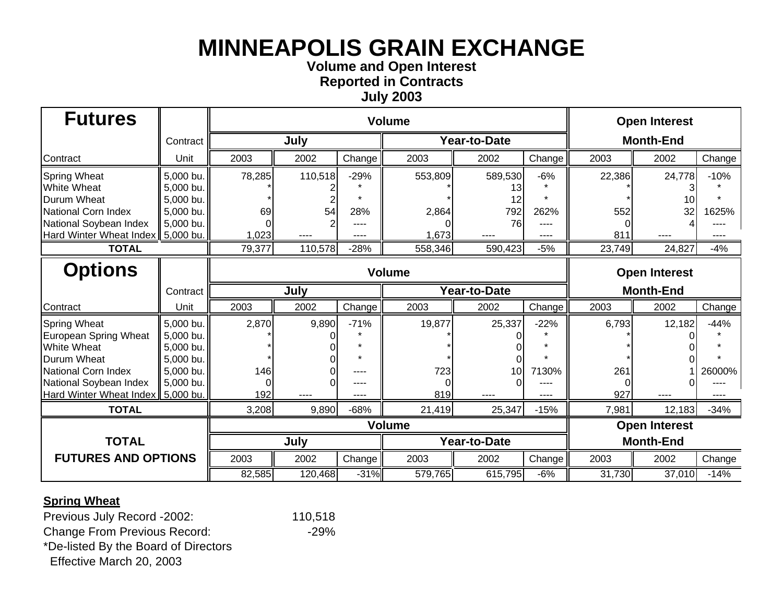**Volume and Open Interest Reported in Contracts**

**July 2003**

| <b>Futures</b>             |           |        |               |        | <b>Open Interest</b> |              |        |                      |                      |        |  |
|----------------------------|-----------|--------|---------------|--------|----------------------|--------------|--------|----------------------|----------------------|--------|--|
|                            | Contract  |        | July          |        |                      | Year-to-Date |        | <b>Month-End</b>     |                      |        |  |
| Contract                   | Unit      | 2003   | 2002          | Change | 2003                 | 2002         | Change | 2003                 | 2002                 | Change |  |
| <b>Spring Wheat</b>        | 5,000 bu. | 78,285 | 110,518       | $-29%$ | 553,809              | 589,530      | $-6%$  | 22,386               | 24,778               | $-10%$ |  |
| <b>White Wheat</b>         | 5,000 bu. |        |               |        |                      | 13           |        |                      |                      |        |  |
| <b>Durum Wheat</b>         | 5,000 bu. |        |               |        |                      | 12           |        |                      |                      |        |  |
| National Corn Index        | 5,000 bu. | 69     | 54            | 28%    | 2,864                | 792          | 262%   | 552                  | 32                   | 1625%  |  |
| National Soybean Index     | 5,000 bu. |        |               | ----   |                      | 76           |        |                      |                      |        |  |
| Hard Winter Wheat Index    | 5,000 bu. | 1,023  | ----          | ----   | 1,673                |              | ----   | 811                  | ----                 | ----   |  |
| <b>TOTAL</b>               |           | 79,377 | 110,578       | $-28%$ | 558,346              | 590,423      | $-5%$  | 23,749               | 24,827               | $-4%$  |  |
| <b>Options</b>             |           |        | <b>Volume</b> |        |                      |              |        | <b>Open Interest</b> |                      |        |  |
|                            | Contract  |        | July          |        |                      | Year-to-Date |        | <b>Month-End</b>     |                      |        |  |
| Contract                   | Unit      | 2003   | 2002          | Change | 2003                 | 2002         | Change | 2003                 | 2002                 | Change |  |
| <b>Spring Wheat</b>        | 5,000 bu. | 2,870  | 9,890         | $-71%$ | 19,877               | 25,337       | $-22%$ | 6,793                | 12,182               | $-44%$ |  |
| European Spring Wheat      | 5,000 bu. |        |               |        |                      |              |        |                      |                      |        |  |
| <b>White Wheat</b>         | 5,000 bu. |        |               |        |                      |              |        |                      |                      |        |  |
| Durum Wheat                | 5,000 bu. |        |               |        |                      |              |        |                      |                      |        |  |
| National Corn Index        | 5,000 bu. | 146    |               | ----   | 723                  | 10           | 7130%  | 261                  |                      | 26000% |  |
| National Soybean Index     | 5,000 bu. |        |               |        |                      |              |        |                      |                      |        |  |
| Hard Winter Wheat Index    | 5,000 bu. | 192    |               | ----   | 819                  |              |        | 927                  |                      |        |  |
| <b>TOTAL</b>               |           | 3,208  | 9,890         | $-68%$ | 21,419               | 25,347       | $-15%$ | 7,981                | 12,183               | $-34%$ |  |
|                            |           |        | <b>Volume</b> |        |                      |              |        |                      | <b>Open Interest</b> |        |  |
| <b>TOTAL</b>               |           |        | July          |        |                      | Year-to-Date |        |                      | <b>Month-End</b>     |        |  |
| <b>FUTURES AND OPTIONS</b> |           | 2003   | 2002          | Change | 2003                 | 2002         | Change | 2003                 | 2002                 | Change |  |
|                            |           | 82,585 | 120,468       | $-31%$ | 579,765              | 615,795      | $-6%$  | 31,730               | 37,010               | $-14%$ |  |

#### **Spring Wheat**

Previous July Record -2002: 110,518

Change From Previous Record: 429%

\*De-listed By the Board of Directors

Effective March 20, 2003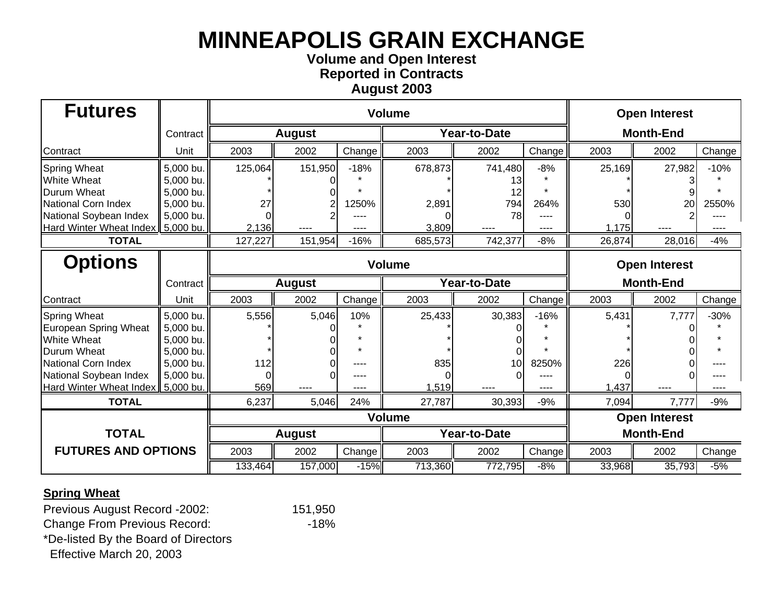## **Volume and Open Interest Reported in Contracts August 2003**

| <b>Futures</b>                 |           |               |               | <b>Open Interest</b> |               |                     |        |                      |        |        |  |
|--------------------------------|-----------|---------------|---------------|----------------------|---------------|---------------------|--------|----------------------|--------|--------|--|
|                                | Contract  | <b>August</b> |               |                      |               | <b>Year-to-Date</b> |        | <b>Month-End</b>     |        |        |  |
| Contract                       | Unit      | 2003          | 2002          | Change               | 2003          | 2002                | Change | 2003                 | 2002   | Change |  |
| <b>Spring Wheat</b>            | 5,000 bu. | 125,064       | 151,950       | $-18%$               | 678,873       | 741,480             | $-8%$  | 25,169               | 27,982 | $-10%$ |  |
| <b>White Wheat</b>             | 5,000 bu. |               |               |                      |               | 13                  |        |                      |        |        |  |
| <b>Durum Wheat</b>             | 5,000 bu. |               |               |                      |               |                     |        |                      |        |        |  |
| National Corn Index            | 5,000 bu. | 27            |               | 1250%                | 2,891         | 794                 | 264%   | 530                  | 20     | 2550%  |  |
| National Soybean Index         | 5,000 bu. |               |               |                      |               | 78                  |        |                      |        |        |  |
| Hard Winter Wheat Index        | 5,000 bu. | 2,136         | ----          | ----                 | 3,809         |                     | ----   | 1,175                | $---$  | ----   |  |
| <b>TOTAL</b>                   |           | 127,227       | 151,954       | $-16%$               | 685,573       | 742,377             | $-8%$  | 26,874               | 28,016 | $-4%$  |  |
| <b>Options</b>                 |           |               |               |                      | <b>Volume</b> |                     |        | <b>Open Interest</b> |        |        |  |
|                                | Contract  |               | <b>August</b> |                      |               | <b>Year-to-Date</b> |        | <b>Month-End</b>     |        |        |  |
| Contract                       | Unit      | 2003          | 2002          | Change               | 2003          | 2002                | Change | 2003                 | 2002   | Change |  |
| <b>Spring Wheat</b>            | 5,000 bu. | 5,556         | 5,046         | 10%                  | 25,433        | 30,383              | $-16%$ | 5,431                | 7,777  | $-30%$ |  |
| European Spring Wheat          | 5,000 bu. |               |               |                      |               |                     |        |                      |        |        |  |
| <b>White Wheat</b>             | 5,000 bu. |               |               |                      |               |                     |        |                      |        |        |  |
| <b>Durum Wheat</b>             | 5,000 bu. |               |               |                      |               |                     |        |                      |        |        |  |
| National Corn Index            | 5,000 bu. | 112           |               | ----                 | 835           | 10                  | 8250%  | 226                  |        |        |  |
| National Soybean Index         | 5,000 bu. |               |               | ----                 |               |                     |        |                      |        |        |  |
| <b>Hard Winter Wheat Index</b> | 5,000 bu. | 569           |               |                      | 1,519         |                     | ----   | 1,437                |        |        |  |
| <b>TOTAL</b>                   |           | 6,237         | 5,046         | 24%                  | 27,787        | 30,393              | $-9%$  | 7,094                | 7,777  | $-9%$  |  |
|                                |           |               |               |                      | <b>Volume</b> |                     |        | <b>Open Interest</b> |        |        |  |
| <b>TOTAL</b>                   |           |               | <b>August</b> |                      | Year-to-Date  |                     |        | <b>Month-End</b>     |        |        |  |
| <b>FUTURES AND OPTIONS</b>     |           | 2003          | 2002          | Change               | 2003          | 2002                | Change | 2003                 | 2002   | Change |  |
|                                |           | 133,464       | 157,000       | $-15%$               | 713,360       | 772,795             | $-8%$  | 33,968               | 35,793 | $-5%$  |  |

### **Spring Wheat**

Previous August Record -2002: 151,950 Change From Previous Record: 48% \*De-listed By the Board of Directors Effective March 20, 2003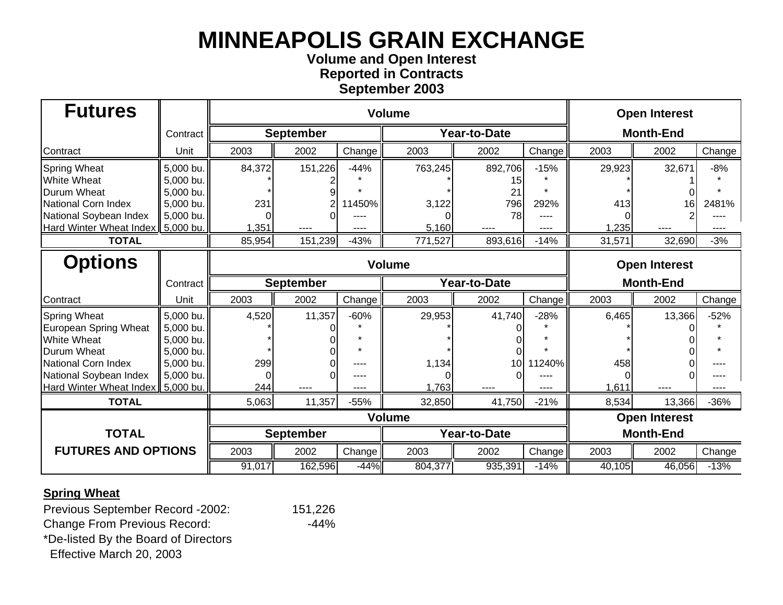## **Volume and Open Interest Reported in Contracts September 2003**

| <b>Futures</b>                 |           |                  | <b>Open Interest</b> |        |               |                     |        |                      |                      |        |  |
|--------------------------------|-----------|------------------|----------------------|--------|---------------|---------------------|--------|----------------------|----------------------|--------|--|
|                                | Contract  | <b>September</b> |                      |        |               | <b>Year-to-Date</b> |        | <b>Month-End</b>     |                      |        |  |
| Contract                       | Unit      | 2003             | 2002                 | Change | 2003          | 2002                | Change | 2003                 | 2002                 | Change |  |
| <b>Spring Wheat</b>            | 5,000 bu. | 84,372           | 151,226              | $-44%$ | 763,245       | 892,706             | $-15%$ | 29,923               | 32,671               | $-8%$  |  |
| <b>White Wheat</b>             | 5,000 bu. |                  |                      |        |               | 15                  |        |                      |                      |        |  |
| <b>Durum Wheat</b>             | 5,000 bu. |                  |                      |        |               | 21                  |        |                      |                      |        |  |
| National Corn Index            | 5,000 bu. | 231              |                      | 11450% | 3,122         | 796                 | 292%   | 413                  | 16                   | 2481%  |  |
| National Soybean Index         | 5,000 bu. |                  |                      |        |               | 78                  |        |                      |                      |        |  |
| Hard Winter Wheat Index        | 5,000 bu. | 1,351            | ----                 | ----   | 5,160         |                     | ----   | 1,235                | $---$                | ----   |  |
| <b>TOTAL</b>                   |           | 85,954           | 151,239              | $-43%$ | 771,527       | 893,616             | $-14%$ | 31,571               | 32,690               | $-3%$  |  |
| <b>Options</b>                 |           | <b>Volume</b>    |                      |        |               |                     |        | <b>Open Interest</b> |                      |        |  |
|                                | Contract  |                  | <b>September</b>     |        |               | <b>Year-to-Date</b> |        | <b>Month-End</b>     |                      |        |  |
| Contract                       | Unit      | 2003             | 2002                 | Change | 2003          | 2002                | Change | 2003                 | 2002                 | Change |  |
| <b>Spring Wheat</b>            | 5,000 bu. | 4,520            | 11,357               | $-60%$ | 29,953        | 41,740              | $-28%$ | 6,465                | 13,366               | $-52%$ |  |
| European Spring Wheat          | 5,000 bu. |                  |                      |        |               |                     |        |                      |                      |        |  |
| <b>White Wheat</b>             | 5,000 bu. |                  |                      |        |               |                     |        |                      |                      |        |  |
| <b>Durum Wheat</b>             | 5,000 bu. |                  |                      |        |               |                     |        |                      |                      |        |  |
| National Corn Index            | 5,000 bu. | 299              |                      | ----   | 1,134         | 10                  | 1240%  | 458                  |                      |        |  |
| National Soybean Index         | 5,000 bu. |                  |                      | ----   |               |                     |        |                      |                      |        |  |
| <b>Hard Winter Wheat Index</b> | 5,000 bu. | 244              |                      |        | 1,763         |                     |        | 1,611                |                      |        |  |
| <b>TOTAL</b>                   |           | 5,063            | 11,357               | $-55%$ | 32,850        | 41,750              | $-21%$ | 8,534                | 13,366               | $-36%$ |  |
|                                |           |                  |                      |        | <b>Volume</b> |                     |        |                      | <b>Open Interest</b> |        |  |
| <b>TOTAL</b>                   |           |                  | <b>September</b>     |        |               | Year-to-Date        |        | <b>Month-End</b>     |                      |        |  |
| <b>FUTURES AND OPTIONS</b>     |           | 2003             | 2002                 | Change | 2003          | 2002                | Change | 2003                 | 2002                 | Change |  |
|                                |           | 91,017           | 162,596              | $-44%$ | 804,377       | 935,391             | $-14%$ | 40,105               | 46,056               | $-13%$ |  |

### **Spring Wheat**

Previous September Record -2002: 151,226 Change From Previous Record: 44% \*De-listed By the Board of Directors Effective March 20, 2003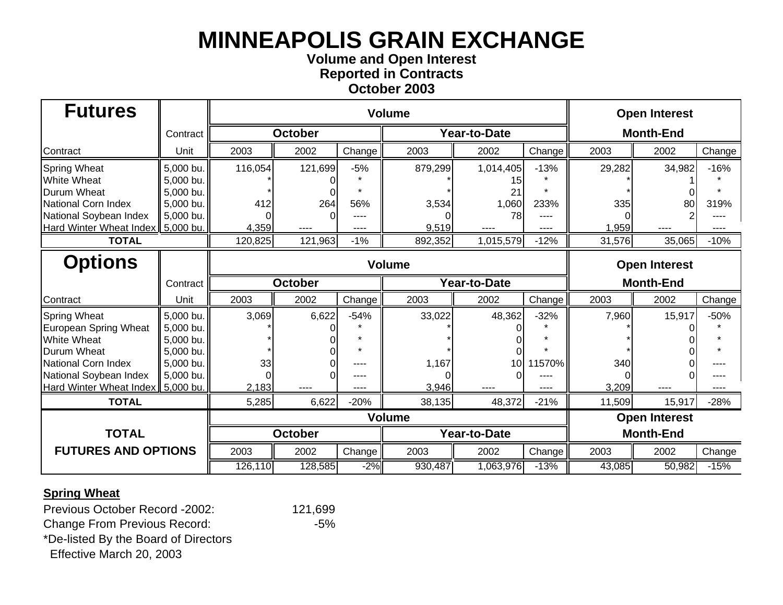## **Volume and Open Interest Reported in Contracts October 2003**

| <b>Futures</b>                 |           |                |                | <b>Open Interest</b> |         |                      |                      |                  |          |        |  |
|--------------------------------|-----------|----------------|----------------|----------------------|---------|----------------------|----------------------|------------------|----------|--------|--|
|                                | Contract  | <b>October</b> |                |                      |         | <b>Year-to-Date</b>  |                      | <b>Month-End</b> |          |        |  |
| Contract                       | Unit      | 2003           | 2002           | Change               | 2003    | 2002                 | Change               | 2003             | 2002     | Change |  |
| <b>Spring Wheat</b>            | 5,000 bu. | 116,054        | 121,699        | $-5%$                | 879,299 | 1,014,405            | $-13%$               | 29,282           | 34,982   | $-16%$ |  |
| <b>White Wheat</b>             | 5,000 bu. |                |                |                      |         | 15                   |                      |                  |          |        |  |
| Durum Wheat                    | 5,000 bu. |                |                |                      |         | 21                   |                      |                  |          |        |  |
| National Corn Index            | 5,000 bu. | 412            | 264            | 56%                  | 3,534   | 1,060                | 233%                 | 335              | 80       | 319%   |  |
| National Soybean Index         | 5,000 bu. |                |                | ----                 |         | 78                   |                      |                  |          |        |  |
| <b>Hard Winter Wheat Index</b> | 5,000 bu. | 4,359          | ----           | ----                 | 9,519   | ----                 | ----                 | 1,959            | $\cdots$ | ----   |  |
| <b>TOTAL</b>                   |           | 120,825        | 121,963        | $-1%$                | 892,352 | 1,015,579            | $-12%$               | 31,576           | 35,065   | $-10%$ |  |
| <b>Options</b>                 |           |                |                | <b>Volume</b>        |         |                      | <b>Open Interest</b> |                  |          |        |  |
|                                | Contract  |                | <b>October</b> |                      |         | Year-to-Date         |                      | <b>Month-End</b> |          |        |  |
| Contract                       | Unit      | 2003           | 2002           | Change               | 2003    | 2002                 | Change               | 2003             | 2002     | Change |  |
| <b>Spring Wheat</b>            | 5,000 bu. | 3,069          | 6,622          | $-54%$               | 33,022  | 48,362               | $-32%$               | 7,960            | 15,917   | $-50%$ |  |
| European Spring Wheat          | 5,000 bu. |                |                |                      |         |                      |                      |                  |          |        |  |
| <b>White Wheat</b>             | 5,000 bu. |                |                |                      |         |                      |                      |                  |          |        |  |
| <b>Durum Wheat</b>             | 5,000 bu. |                |                |                      |         |                      |                      |                  |          |        |  |
| National Corn Index            | 5,000 bu. | 33             |                | ----                 | 1,167   | 10                   | 1570%                | 340              |          |        |  |
| National Soybean Index         | 5,000 bu. |                |                | ----                 |         |                      |                      |                  |          |        |  |
| <b>Hard Winter Wheat Index</b> | 5,000 bu. | 2,183          | ----           | ----                 | 3,946   |                      |                      | 3,209            |          |        |  |
| <b>TOTAL</b>                   |           | 5,285          | 6,622          | $-20%$               | 38,135  | 48,372               | $-21%$               | 11,509           | 15,917   | $-28%$ |  |
|                                |           |                |                |                      |         | <b>Open Interest</b> |                      |                  |          |        |  |
| <b>TOTAL</b>                   |           |                | <b>October</b> |                      |         | Year-to-Date         |                      | <b>Month-End</b> |          |        |  |
| <b>FUTURES AND OPTIONS</b>     |           | 2003           | 2002           | Change               | 2003    | 2002                 | Change               | 2003             | 2002     | Change |  |
|                                |           | 126,110        | 128,585        | $-2%$                | 930,487 | 1,063,976            | $-13%$               | 43,085           | 50,982   | $-15%$ |  |

### **Spring Wheat**

Previous October Record -2002: 121,699 Change From Previous Record: 45% \*De-listed By the Board of Directors Effective March 20, 2003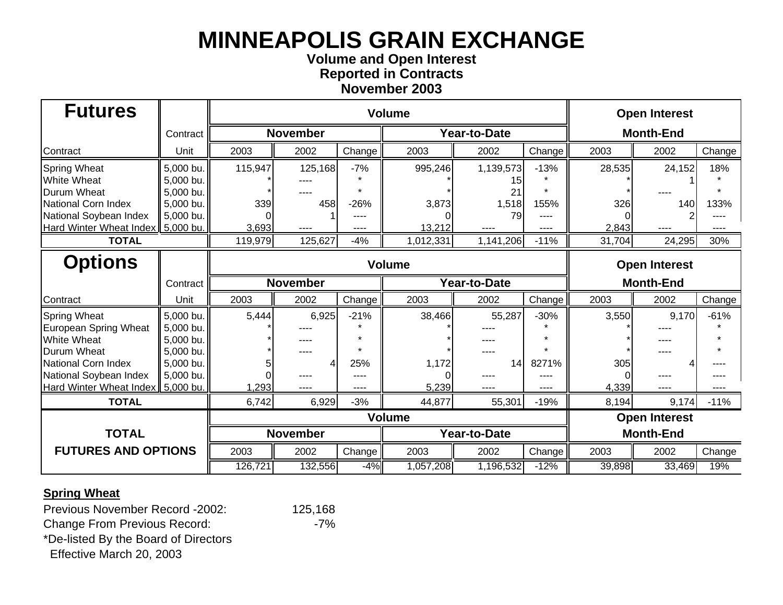## **Volume and Open Interest Reported in Contracts November 2003**

| <b>Futures</b>                 |           |                 |                 | <b>Open Interest</b> |               |              |                      |                  |                      |        |  |
|--------------------------------|-----------|-----------------|-----------------|----------------------|---------------|--------------|----------------------|------------------|----------------------|--------|--|
|                                | Contract  | <b>November</b> |                 |                      |               | Year-to-Date |                      | <b>Month-End</b> |                      |        |  |
| Contract                       | Unit      | 2003            | 2002            | Change               | 2003          | 2002         | Change               | 2003             | 2002                 | Change |  |
| <b>Spring Wheat</b>            | 5,000 bu. | 115,947         | 125,168         | $-7%$                | 995,246       | 1,139,573    | $-13%$               | 28,535           | 24,152               | 18%    |  |
| <b>White Wheat</b>             | 5,000 bu. |                 |                 |                      |               | 15           |                      |                  |                      |        |  |
| Durum Wheat                    | 5,000 bu. |                 |                 |                      |               | 21           |                      |                  |                      |        |  |
| National Corn Index            | 5,000 bu. | 339             | 458             | $-26%$               | 3,873         | 1,518        | 155%                 | 326              | 140                  | 133%   |  |
| National Soybean Index         | 5,000 bu. |                 |                 |                      |               | 79           |                      |                  |                      |        |  |
| <b>Hard Winter Wheat Index</b> | 5,000 bu. | 3,693           | ----            | ----                 | 13,212        |              | ----                 | 2,843            | ----                 |        |  |
| <b>TOTAL</b>                   |           | 119,979         | 125,627         | $-4%$                | 1,012,331     | 1,141,206    | $-11%$               | 31,704           | 24,295               | 30%    |  |
| <b>Options</b>                 |           |                 |                 |                      | <b>Volume</b> |              | <b>Open Interest</b> |                  |                      |        |  |
|                                | Contract  |                 | <b>November</b> |                      |               | Year-to-Date |                      | <b>Month-End</b> |                      |        |  |
| Contract                       | Unit      | 2003            | 2002            | Change               | 2003          | 2002         | Change               | 2003             | 2002                 | Change |  |
| <b>Spring Wheat</b>            | 5,000 bu. | 5,444           | 6,925           | $-21%$               | 38,466        | 55,287       | $-30%$               | 3,550            | 9,170                | $-61%$ |  |
| European Spring Wheat          | 5,000 bu. |                 |                 |                      |               |              |                      |                  |                      |        |  |
| <b>White Wheat</b>             | 5,000 bu. |                 | ----            |                      |               |              |                      |                  |                      |        |  |
| <b>Durum Wheat</b>             | 5,000 bu. |                 | ----            |                      |               |              |                      |                  |                      |        |  |
| National Corn Index            | 5,000 bu. |                 | 4               | 25%                  | 1,172         | 14           | 8271%                | 305              |                      |        |  |
| National Soybean Index         | 5,000 bu. |                 | ----            | ----                 |               | ----         |                      |                  |                      |        |  |
| <b>Hard Winter Wheat Index</b> | 5,000 bu. | 1,293           | ----            | ----                 | 5,239         |              | ----                 | 4,339            |                      |        |  |
| <b>TOTAL</b>                   |           | 6,742           | 6,929           | $-3%$                | 44,877        | 55,301       | $-19%$               | 8,194            | 9,174                | $-11%$ |  |
|                                |           |                 |                 |                      | <b>Volume</b> |              |                      |                  | <b>Open Interest</b> |        |  |
| <b>TOTAL</b>                   |           |                 | <b>November</b> |                      |               | Year-to-Date |                      | <b>Month-End</b> |                      |        |  |
| <b>FUTURES AND OPTIONS</b>     |           | 2003            | 2002            | Change               | 2003          | 2002         | Change               | 2003             | 2002                 | Change |  |
|                                |           | 126,721         | 132,556         | $-4%$                | 1,057,208     | 1,196,532    | $-12%$               | 39,898           | 33,469               | 19%    |  |

### **Spring Wheat**

Previous November Record -2002: 125,168 Change From Previous Record: 7% \*De-listed By the Board of Directors Effective March 20, 2003